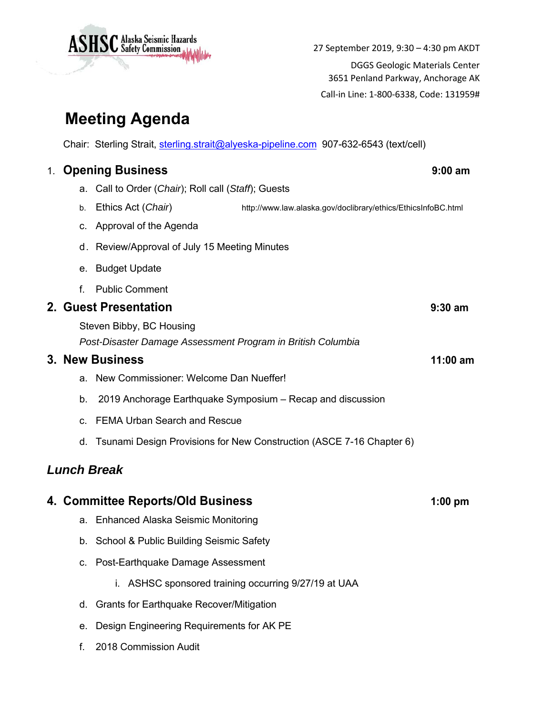

3651 Penland Parkway, Anchorage AK

Call‐in Line: 1‐800‐6338, Code: 131959#

## **Meeting Agenda**

Chair: Sterling Strait, sterling.strait@alyeska-pipeline.com 907-632-6543 (text/cell)

## 1. **Opening Business 9:00 am** a. Call to Order (*Chair*); Roll call (*Staff*); Guests b. Ethics Act (*Chair*) http://www.law.alaska.gov/doclibrary/ethics/EthicsInfoBC.html c. Approval of the Agenda d. Review/Approval of July 15 Meeting Minutes e. Budget Update f. Public Comment **2. Guest Presentation 9:30 am** Steven Bibby, BC Housing *Post-Disaster Damage Assessment Program in British Columbia*  **3. New Business 11:00 am** a. New Commissioner: Welcome Dan Nueffer! b. 2019 Anchorage Earthquake Symposium – Recap and discussion c. FEMA Urban Search and Rescue d. Tsunami Design Provisions for New Construction (ASCE 7-16 Chapter 6) *Lunch Break*  **4. Committee Reports/Old Business 1:00 pm**

- a. Enhanced Alaska Seismic Monitoring
- b. School & Public Building Seismic Safety
- c. Post-Earthquake Damage Assessment
	- i. ASHSC sponsored training occurring 9/27/19 at UAA
- d. Grants for Earthquake Recover/Mitigation
- e. Design Engineering Requirements for AK PE
- f. 2018 Commission Audit